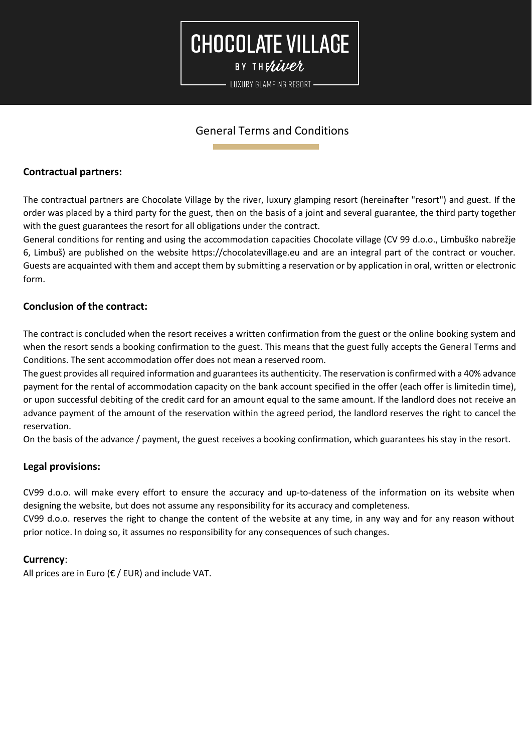### **CHOCOLATE VILLAGE** BY THERIVER

- LUXURY GLAMPING RESORT -

#### General Terms and Conditions

#### **Contractual partners:**

The contractual partners are Chocolate Village by the river, luxury glamping resort (hereinafter "resort") and guest. If the order was placed by a third party for the guest, then on the basis of a joint and several guarantee, the third party together with the guest guarantees the resort for all obligations under the contract.

General conditions for renting and using the accommodation capacities Chocolate village (CV 99 d.o.o., Limbuško nabrežje 6, Limbuš) are published on the website https://chocolatevillage.eu and are an integral part of the contract or voucher. Guests are acquainted with them and accept them by submitting a reservation or by application in oral, written or electronic form.

#### **Conclusion of the contract:**

The contract is concluded when the resort receives a written confirmation from the guest or the online booking system and when the resort sends a booking confirmation to the guest. This means that the guest fully accepts the General Terms and Conditions. The sent accommodation offer does not mean a reserved room.

The guest provides all required information and guarantees its authenticity. The reservation is confirmed with a 40% advance payment for the rental of accommodation capacity on the bank account specified in the offer (each offer is limitedin time), or upon successful debiting of the credit card for an amount equal to the same amount. If the landlord does not receive an advance payment of the amount of the reservation within the agreed period, the landlord reserves the right to cancel the reservation.

On the basis of the advance / payment, the guest receives a booking confirmation, which guarantees his stay in the resort.

#### **Legal provisions:**

CV99 d.o.o. will make every effort to ensure the accuracy and up-to-dateness of the information on its website when designing the website, but does not assume any responsibility for its accuracy and completeness.

CV99 d.o.o. reserves the right to change the content of the website at any time, in any way and for any reason without prior notice. In doing so, it assumes no responsibility for any consequences of such changes.

#### **Currency**:

All prices are in Euro ( $\epsilon$  / EUR) and include VAT.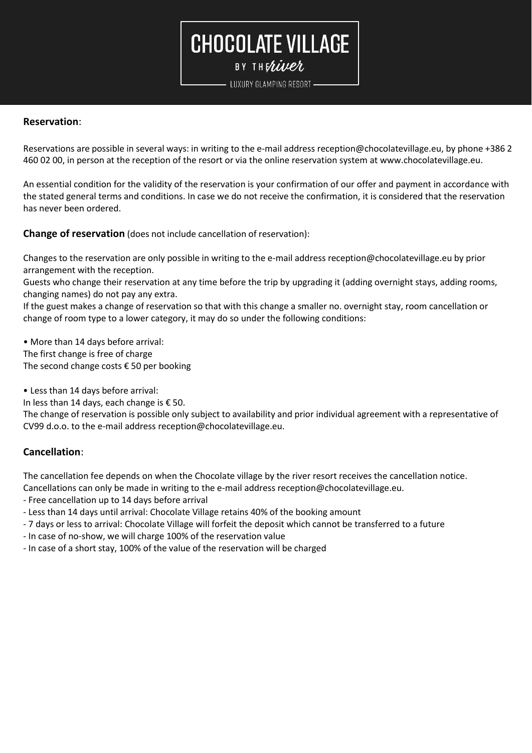BY THERIVER

LUXURY GLAMPING RESORT -

#### **Reservation**:

Reservations are possible in several ways: in writing to the e-mail address [reception@chocolatevillage.eu,](mailto:reception@chocolatevillage.eu) by phone +386 2 460 02 00, in person at the reception of the resort or via the online reservation system at [www.chocolatevillage.eu.](http://www.chocolatevillage.eu/)

An essential condition for the validity of the reservation is your confirmation of our offer and payment in accordance with the stated general terms and conditions. In case we do not receive the confirmation, it is considered that the reservation has never been ordered.

**Change of reservation** (does not include cancellation of reservation):

Changes to the reservation are only possible in writing to the e-mail address [reception@chocolatevillage.eu](mailto:reception@chocolatevillage.eu) by prior arrangement with the reception.

Guests who change their reservation at any time before the trip by upgrading it (adding overnight stays, adding rooms, changing names) do not pay any extra.

If the guest makes a change of reservation so that with this change a smaller no. overnight stay, room cancellation or change of room type to a lower category, it may do so under the following conditions:

• More than 14 days before arrival: The first change is free of charge The second change costs  $\epsilon$  50 per booking

• Less than 14 days before arrival:

In less than 14 days, each change is  $\epsilon$  50.

The change of reservation is possible only subject to availability and prior individual agreement with a representative of CV99 d.o.o. to the e-mail address [reception@chocolatevillage.eu.](mailto:reception@chocolatevillage.eu)

#### **Cancellation**:

The cancellation fee depends on when the Chocolate village by the river resort receives the cancellation notice.

Cancellations can only be made in writing to the e-mail address [reception@chocolatevillage.eu.](mailto:reception@chocolatevillage.eu)

- Free cancellation up to 14 days before arrival
- Less than 14 days until arrival: Chocolate Village retains 40% of the booking amount
- 7 days or less to arrival: Chocolate Village will forfeit the deposit which cannot be transferred to a future
- In case of no-show, we will charge 100% of the reservation value
- In case of a short stay, 100% of the value of the reservation will be charged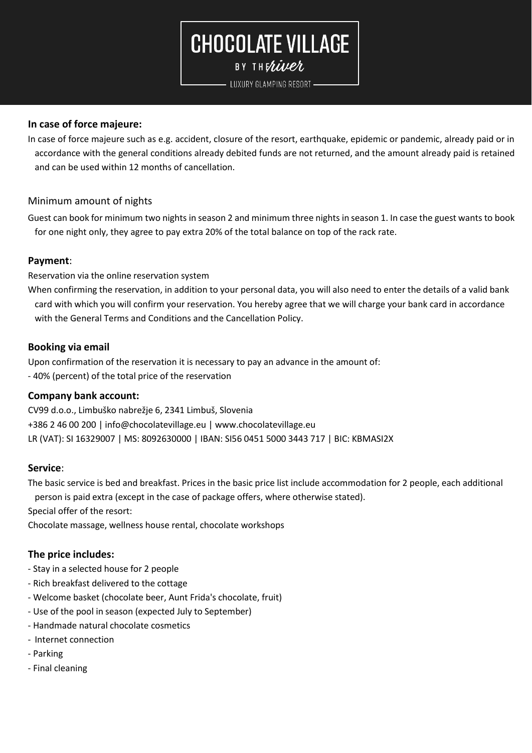BY THERIVER

LUXURY GLAMPING RESORT -

#### **In case of force majeure:**

In case of force majeure such as e.g. accident, closure of the resort, earthquake, epidemic or pandemic, already paid or in accordance with the general conditions already debited funds are not returned, and the amount already paid is retained and can be used within 12 months of cancellation.

#### Minimum amount of nights

Guest can book for minimum two nights in season 2 and minimum three nights in season 1. In case the guest wants to book for one night only, they agree to pay extra 20% of the total balance on top of the rack rate.

#### **Payment**:

Reservation via the online reservation system

When confirming the reservation, in addition to your personal data, you will also need to enter the details of a valid bank card with which you will confirm your reservation. You hereby agree that we will charge your bank card in accordance with the General Terms and Conditions and the Cancellation Policy.

#### **Booking via email**

Upon confirmation of the reservation it is necessary to pay an advance in the amount of: - 40% (percent) of the total price of the reservation

#### **Company bank account:**

CV99 d.o.o., Limbuško nabrežje 6, 2341 Limbuš, Slovenia +386 2 46 00 200 | [info@chocolatevillage.eu](mailto:info@chocolatevillage.eu) | [www.chocolatevillage.eu](http://www.chocolatevillage.eu/) LR (VAT): SI 16329007 | MS: 8092630000 | IBAN: SI56 0451 5000 3443 717 | BIC: KBMASI2X

#### **Service**:

The basic service is bed and breakfast. Prices in the basic price list include accommodation for 2 people, each additional person is paid extra (except in the case of package offers, where otherwise stated).

Special offer of the resort:

Chocolate massage, wellness house rental, chocolate workshops

#### **The price includes:**

- Stay in a selected house for 2 people
- Rich breakfast delivered to the cottage
- Welcome basket (chocolate beer, Aunt Frida's chocolate, fruit)
- Use of the pool in season (expected July to September)
- Handmade natural chocolate cosmetics
- Internet connection
- Parking
- Final cleaning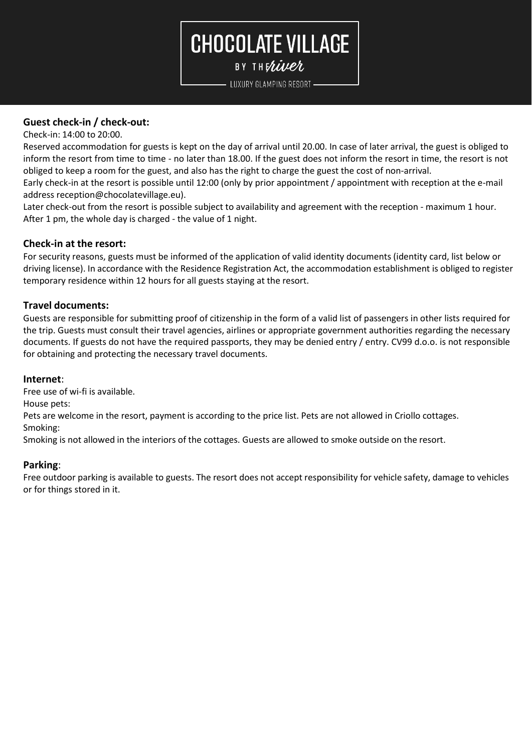BY THERIVER

LUXURY GLAMPING RESORT -

#### **Guest check-in / check-out:**

Check-in: 14:00 to 20:00.

Reserved accommodation for guests is kept on the day of arrival until 20.00. In case of later arrival, the guest is obliged to inform the resort from time to time - no later than 18.00. If the guest does not inform the resort in time, the resort is not obliged to keep a room for the guest, and also has the right to charge the guest the cost of non-arrival.

Early check-in at the resort is possible until 12:00 (only by prior appointment / appointment with reception at the e-mail address reception@chocolatevillage.eu).

Later check-out from the resort is possible subject to availability and agreement with the reception - maximum 1 hour. After 1 pm, the whole day is charged - the value of 1 night.

#### **Check-in at the resort:**

For security reasons, guests must be informed of the application of valid identity documents (identity card, list below or driving license). In accordance with the Residence Registration Act, the accommodation establishment is obliged to register temporary residence within 12 hours for all guests staying at the resort.

#### **Travel documents:**

Guests are responsible for submitting proof of citizenship in the form of a valid list of passengers in other lists required for the trip. Guests must consult their travel agencies, airlines or appropriate government authorities regarding the necessary documents. If guests do not have the required passports, they may be denied entry / entry. CV99 d.o.o. is not responsible for obtaining and protecting the necessary travel documents.

#### **Internet**:

Free use of wi-fi is available.

House pets:

Pets are welcome in the resort, payment is according to the price list. Pets are not allowed in Criollo cottages.

Smoking:

Smoking is not allowed in the interiors of the cottages. Guests are allowed to smoke outside on the resort.

#### **Parking**:

Free outdoor parking is available to guests. The resort does not accept responsibility for vehicle safety, damage to vehicles or for things stored in it.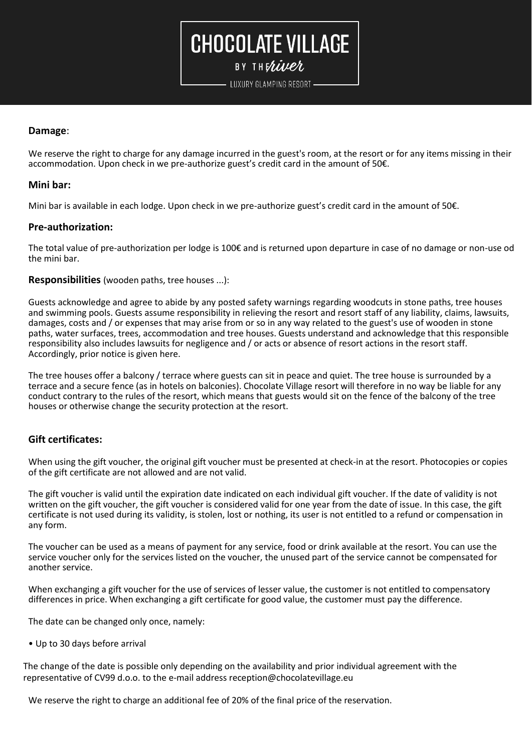BY THERIVER

LUXURY GLAMPING RESORT -

#### **Damage**:

We reserve the right to charge for any damage incurred in the guest's room, at the resort or for any items missing in their accommodation. Upon check in we pre-authorize guest's credit card in the amount of 50€.

#### **Mini bar:**

Mini bar is available in each lodge. Upon check in we pre-authorize guest's credit card in the amount of 50€.

#### **Pre-authorization:**

The total value of pre-authorization per lodge is 100€ and is returned upon departure in case of no damage or non-use od the mini bar.

**Responsibilities** (wooden paths, tree houses ...):

Guests acknowledge and agree to abide by any posted safety warnings regarding woodcuts in stone paths, tree houses and swimming pools. Guests assume responsibility in relieving the resort and resort staff of any liability, claims, lawsuits, damages, costs and / or expenses that may arise from or so in any way related to the guest's use of wooden in stone paths, water surfaces, trees, accommodation and tree houses. Guests understand and acknowledge that this responsible responsibility also includes lawsuits for negligence and / or acts or absence of resort actions in the resort staff. Accordingly, prior notice is given here.

The tree houses offer a balcony / terrace where guests can sit in peace and quiet. The tree house is surrounded by a terrace and a secure fence (as in hotels on balconies). Chocolate Village resort will therefore in no way be liable for any conduct contrary to the rules of the resort, which means that guests would sit on the fence of the balcony of the tree houses or otherwise change the security protection at the resort.

#### **Gift certificates:**

When using the gift voucher, the original gift voucher must be presented at check-in at the resort. Photocopies or copies of the gift certificate are not allowed and are not valid.

The gift voucher is valid until the expiration date indicated on each individual gift voucher. If the date of validity is not written on the gift voucher, the gift voucher is considered valid for one year from the date of issue. In this case, the gift certificate is not used during its validity, is stolen, lost or nothing, its user is not entitled to a refund or compensation in any form.

The voucher can be used as a means of payment for any service, food or drink available at the resort. You can use the service voucher only for the services listed on the voucher, the unused part of the service cannot be compensated for another service.

When exchanging a gift voucher for the use of services of lesser value, the customer is not entitled to compensatory differences in price. When exchanging a gift certificate for good value, the customer must pay the difference.

The date can be changed only once, namely:

• Up to 30 days before arrival

The change of the date is possible only depending on the availability and prior individual agreement with the representative of CV99 d.o.o. to the e-mail addres[s reception@chocolatevillage.eu](mailto:reception@chocolatevillage.eu)

We reserve the right to charge an additional fee of 20% of the final price of the reservation.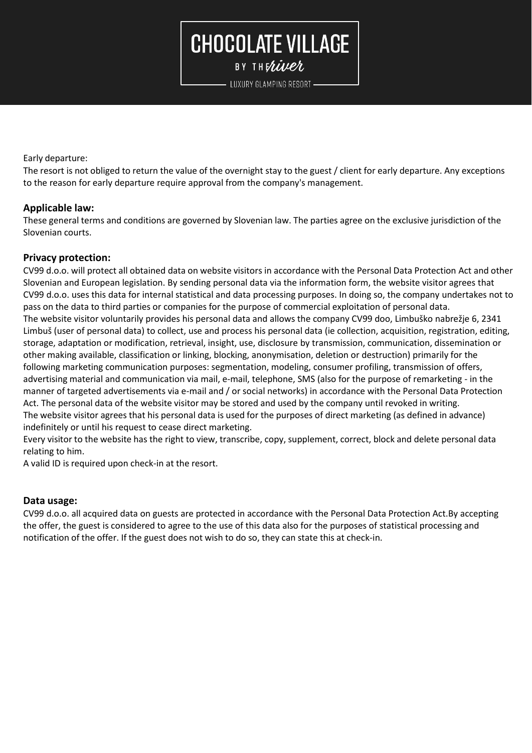BY THERIVER

LUXURY GLAMPING RESORT -

Early departure:

The resort is not obliged to return the value of the overnight stay to the guest / client for early departure. Any exceptions to the reason for early departure require approval from the company's management.

#### **Applicable law:**

These general terms and conditions are governed by Slovenian law. The parties agree on the exclusive jurisdiction of the Slovenian courts.

#### **Privacy protection:**

CV99 d.o.o. will protect all obtained data on website visitors in accordance with the Personal Data Protection Act and other Slovenian and European legislation. By sending personal data via the information form, the website visitor agrees that CV99 d.o.o. uses this data for internal statistical and data processing purposes. In doing so, the company undertakes not to pass on the data to third parties or companies for the purpose of commercial exploitation of personal data. The website visitor voluntarily provides his personal data and allows the company CV99 doo, Limbuško nabrežje 6, 2341 Limbuš (user of personal data) to collect, use and process his personal data (ie collection, acquisition, registration, editing, storage, adaptation or modification, retrieval, insight, use, disclosure by transmission, communication, dissemination or other making available, classification or linking, blocking, anonymisation, deletion or destruction) primarily for the following marketing communication purposes: segmentation, modeling, consumer profiling, transmission of offers, advertising material and communication via mail, e-mail, telephone, SMS (also for the purpose of remarketing - in the manner of targeted advertisements via e-mail and / or social networks) in accordance with the Personal Data Protection Act. The personal data of the website visitor may be stored and used by the company until revoked in writing. The website visitor agrees that his personal data is used for the purposes of direct marketing (as defined in advance) indefinitely or until his request to cease direct marketing.

Every visitor to the website has the right to view, transcribe, copy, supplement, correct, block and delete personal data relating to him.

A valid ID is required upon check-in at the resort.

#### **Data usage:**

CV99 d.o.o. all acquired data on guests are protected in accordance with the Personal Data Protection Act.By accepting the offer, the guest is considered to agree to the use of this data also for the purposes of statistical processing and notification of the offer. If the guest does not wish to do so, they can state this at check-in.